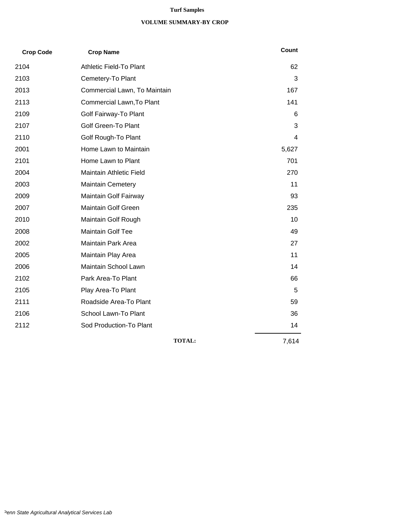#### **Turf Samples**

#### **VOLUME SUMMARY-BY CROP**

| <b>Crop Code</b> | <b>Crop Name</b>             | <b>Count</b> |
|------------------|------------------------------|--------------|
| 2104             | Athletic Field-To Plant      | 62           |
| 2103             | Cemetery-To Plant            | 3            |
| 2013             | Commercial Lawn, To Maintain | 167          |
| 2113             | Commercial Lawn, To Plant    | 141          |
| 2109             | Golf Fairway-To Plant        | 6            |
| 2107             | <b>Golf Green-To Plant</b>   | 3            |
| 2110             | Golf Rough-To Plant          | 4            |
| 2001             | Home Lawn to Maintain        | 5,627        |
| 2101             | Home Lawn to Plant           | 701          |
| 2004             | Maintain Athletic Field      | 270          |
| 2003             | <b>Maintain Cemetery</b>     | 11           |
| 2009             | Maintain Golf Fairway        | 93           |
| 2007             | Maintain Golf Green          | 235          |
| 2010             | Maintain Golf Rough          | 10           |
| 2008             | Maintain Golf Tee            | 49           |
| 2002             | Maintain Park Area           | 27           |
| 2005             | Maintain Play Area           | 11           |
| 2006             | Maintain School Lawn         | 14           |
| 2102             | Park Area-To Plant           | 66           |
| 2105             | Play Area-To Plant           | 5            |
| 2111             | Roadside Area-To Plant       | 59           |
| 2106             | School Lawn-To Plant         | 36           |
| 2112             | Sod Production-To Plant      | 14           |
|                  | <b>TOTAL:</b>                | 7,614        |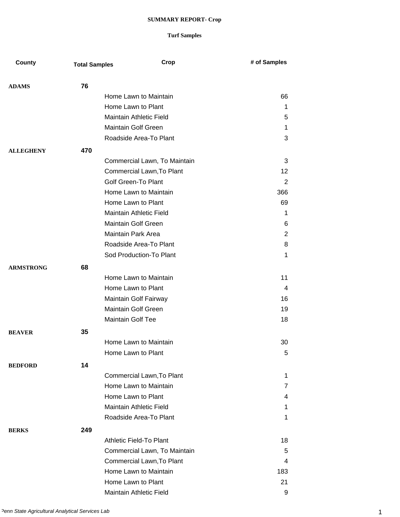| County           | <b>Total Samples</b> | Crop                           | # of Samples |
|------------------|----------------------|--------------------------------|--------------|
|                  |                      |                                |              |
| <b>ADAMS</b>     | 76                   |                                |              |
|                  |                      | Home Lawn to Maintain          | 66           |
|                  |                      | Home Lawn to Plant             | 1            |
|                  |                      | Maintain Athletic Field        | 5            |
|                  |                      | <b>Maintain Golf Green</b>     | 1            |
|                  |                      | Roadside Area-To Plant         | 3            |
| <b>ALLEGHENY</b> | 470                  |                                |              |
|                  |                      | Commercial Lawn, To Maintain   | 3            |
|                  |                      | Commercial Lawn, To Plant      | 12           |
|                  |                      | <b>Golf Green-To Plant</b>     | 2            |
|                  |                      | Home Lawn to Maintain          | 366          |
|                  |                      | Home Lawn to Plant             | 69           |
|                  |                      | <b>Maintain Athletic Field</b> | $\mathbf 1$  |
|                  |                      | <b>Maintain Golf Green</b>     | 6            |
|                  |                      | <b>Maintain Park Area</b>      | 2            |
|                  |                      | Roadside Area-To Plant         | 8            |
|                  |                      | Sod Production-To Plant        | 1            |
| <b>ARMSTRONG</b> | 68                   |                                |              |
|                  |                      | Home Lawn to Maintain          | 11           |
|                  |                      | Home Lawn to Plant             | 4            |
|                  |                      | Maintain Golf Fairway          | 16           |
|                  |                      | <b>Maintain Golf Green</b>     | 19           |
|                  |                      | <b>Maintain Golf Tee</b>       | 18           |
| <b>BEAVER</b>    | 35                   |                                |              |
|                  |                      | Home Lawn to Maintain          | 30           |
|                  |                      | Home Lawn to Plant             | 5            |
| <b>BEDFORD</b>   | 14                   |                                |              |
|                  |                      | Commercial Lawn, To Plant      | 1            |
|                  |                      | Home Lawn to Maintain          | 7            |
|                  |                      | Home Lawn to Plant             | 4            |
|                  |                      | Maintain Athletic Field        | 1            |
|                  |                      | Roadside Area-To Plant         | 1            |
| <b>BERKS</b>     | 249                  |                                |              |
|                  |                      | Athletic Field-To Plant        | 18           |
|                  |                      | Commercial Lawn, To Maintain   | 5            |
|                  |                      | Commercial Lawn, To Plant      | 4            |
|                  |                      | Home Lawn to Maintain          | 183          |
|                  |                      | Home Lawn to Plant             | 21           |
|                  |                      | Maintain Athletic Field        | 9            |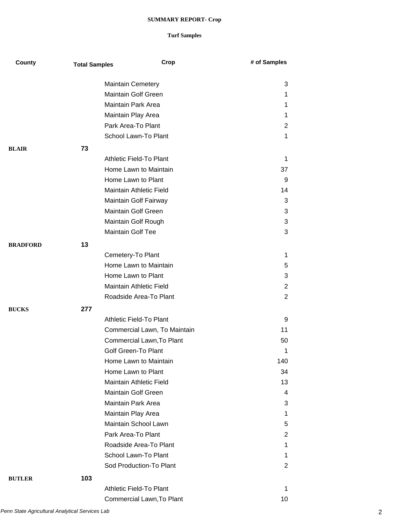| County          | <b>Total Samples</b> | Crop                           | # of Samples   |
|-----------------|----------------------|--------------------------------|----------------|
|                 |                      | <b>Maintain Cemetery</b>       | 3              |
|                 |                      | <b>Maintain Golf Green</b>     | 1              |
|                 |                      | <b>Maintain Park Area</b>      | 1              |
|                 |                      | Maintain Play Area             | 1              |
|                 |                      | Park Area-To Plant             | 2              |
|                 |                      | School Lawn-To Plant           | 1              |
| <b>BLAIR</b>    | 73                   |                                |                |
|                 |                      | Athletic Field-To Plant        | 1              |
|                 |                      | Home Lawn to Maintain          | 37             |
|                 |                      | Home Lawn to Plant             | 9              |
|                 |                      | <b>Maintain Athletic Field</b> | 14             |
|                 |                      | Maintain Golf Fairway          | 3              |
|                 |                      | Maintain Golf Green            | 3              |
|                 |                      | Maintain Golf Rough            | 3              |
|                 |                      | <b>Maintain Golf Tee</b>       | 3              |
| <b>BRADFORD</b> | 13                   |                                |                |
|                 |                      | Cemetery-To Plant              | 1              |
|                 |                      | Home Lawn to Maintain          | 5              |
|                 |                      | Home Lawn to Plant             | 3              |
|                 |                      | Maintain Athletic Field        | $\overline{2}$ |
|                 |                      | Roadside Area-To Plant         | 2              |
| <b>BUCKS</b>    | 277                  |                                |                |
|                 |                      | <b>Athletic Field-To Plant</b> | 9              |
|                 |                      | Commercial Lawn, To Maintain   | 11             |
|                 |                      | Commercial Lawn, To Plant      | 50             |
|                 |                      | Golf Green-To Plant            | 1              |
|                 |                      | Home Lawn to Maintain          | 140            |
|                 |                      | Home Lawn to Plant             | 34             |
|                 |                      | Maintain Athletic Field        | 13             |
|                 |                      | <b>Maintain Golf Green</b>     | 4              |
|                 |                      | <b>Maintain Park Area</b>      | 3              |
|                 |                      | Maintain Play Area             | 1              |
|                 |                      | <b>Maintain School Lawn</b>    | 5              |
|                 |                      | Park Area-To Plant             | 2              |
|                 |                      | Roadside Area-To Plant         | 1              |
|                 |                      | School Lawn-To Plant           | 1              |
|                 |                      | Sod Production-To Plant        | 2              |
| <b>BUTLER</b>   | 103                  |                                |                |
|                 |                      | Athletic Field-To Plant        | 1              |
|                 |                      | Commercial Lawn, To Plant      | 10             |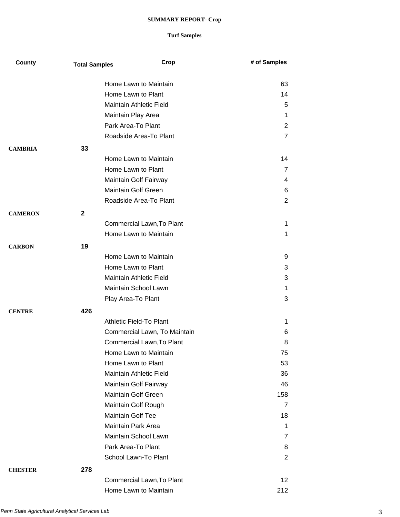| County         | <b>Total Samples</b> | Crop                           | # of Samples    |
|----------------|----------------------|--------------------------------|-----------------|
|                |                      | Home Lawn to Maintain          | 63              |
|                |                      | Home Lawn to Plant             | 14              |
|                |                      | <b>Maintain Athletic Field</b> | 5               |
|                |                      | Maintain Play Area             | 1               |
|                |                      | Park Area-To Plant             | 2               |
|                |                      | Roadside Area-To Plant         | $\overline{7}$  |
| <b>CAMBRIA</b> | 33                   |                                |                 |
|                |                      | Home Lawn to Maintain          | 14              |
|                |                      | Home Lawn to Plant             | 7               |
|                |                      | Maintain Golf Fairway          | 4               |
|                |                      | Maintain Golf Green            | 6               |
|                |                      | Roadside Area-To Plant         | $\overline{2}$  |
| <b>CAMERON</b> | $\mathbf{2}$         |                                |                 |
|                |                      | Commercial Lawn, To Plant      | 1               |
|                |                      | Home Lawn to Maintain          | 1               |
|                |                      |                                |                 |
| <b>CARBON</b>  | 19                   | Home Lawn to Maintain          | 9               |
|                |                      | Home Lawn to Plant             | 3               |
|                |                      | Maintain Athletic Field        | 3               |
|                |                      | Maintain School Lawn           | 1               |
|                |                      | Play Area-To Plant             | 3               |
| <b>CENTRE</b>  | 426                  |                                |                 |
|                |                      | Athletic Field-To Plant        | 1.              |
|                |                      | Commercial Lawn, To Maintain   | 6               |
|                |                      | Commercial Lawn, To Plant      | 8               |
|                |                      | Home Lawn to Maintain          | 75              |
|                |                      | Home Lawn to Plant             | 53              |
|                |                      | <b>Maintain Athletic Field</b> | 36              |
|                |                      | Maintain Golf Fairway          | 46              |
|                |                      | <b>Maintain Golf Green</b>     | 158             |
|                |                      | Maintain Golf Rough            | 7               |
|                |                      | <b>Maintain Golf Tee</b>       | 18              |
|                |                      | Maintain Park Area             | 1               |
|                |                      | Maintain School Lawn           | 7               |
|                |                      | Park Area-To Plant             | 8               |
|                |                      | School Lawn-To Plant           | $\overline{2}$  |
| <b>CHESTER</b> | 278                  |                                |                 |
|                |                      | Commercial Lawn, To Plant      | 12 <sub>2</sub> |
|                |                      | Home Lawn to Maintain          | 212             |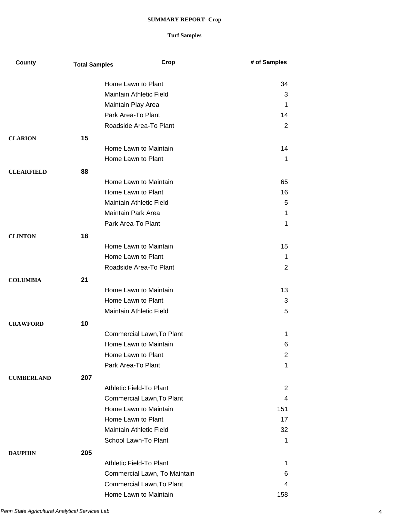| County            | <b>Total Samples</b> | Crop                                                 | # of Samples |
|-------------------|----------------------|------------------------------------------------------|--------------|
|                   |                      |                                                      |              |
|                   |                      | Home Lawn to Plant<br><b>Maintain Athletic Field</b> | 34           |
|                   |                      |                                                      | 3            |
|                   |                      | Maintain Play Area                                   | 1            |
|                   |                      | Park Area-To Plant                                   | 14           |
|                   |                      | Roadside Area-To Plant                               | 2            |
| <b>CLARION</b>    | 15                   |                                                      |              |
|                   |                      | Home Lawn to Maintain                                | 14           |
|                   |                      | Home Lawn to Plant                                   | 1            |
| <b>CLEARFIELD</b> | 88                   |                                                      |              |
|                   |                      | Home Lawn to Maintain                                | 65           |
|                   |                      | Home Lawn to Plant                                   | 16           |
|                   |                      | <b>Maintain Athletic Field</b>                       | 5            |
|                   |                      | Maintain Park Area                                   | 1            |
|                   |                      | Park Area-To Plant                                   | 1            |
| <b>CLINTON</b>    | 18                   |                                                      |              |
|                   |                      | Home Lawn to Maintain                                | 15           |
|                   |                      | Home Lawn to Plant                                   | $\mathbf 1$  |
|                   |                      | Roadside Area-To Plant                               | 2            |
| <b>COLUMBIA</b>   | 21                   |                                                      |              |
|                   |                      | Home Lawn to Maintain                                | 13           |
|                   |                      | Home Lawn to Plant                                   | 3            |
|                   |                      | Maintain Athletic Field                              | 5            |
|                   | 10                   |                                                      |              |
| <b>CRAWFORD</b>   |                      | Commercial Lawn, To Plant                            | 1            |
|                   |                      | Home Lawn to Maintain                                | 6            |
|                   |                      | Home Lawn to Plant                                   | 2            |
|                   |                      | Park Area-To Plant                                   | 1            |
|                   |                      |                                                      |              |
| <b>CUMBERLAND</b> | 207                  |                                                      |              |
|                   |                      | Athletic Field-To Plant                              | 2            |
|                   |                      | Commercial Lawn, To Plant                            | 4            |
|                   |                      | Home Lawn to Maintain                                | 151          |
|                   |                      | Home Lawn to Plant                                   | 17           |
|                   |                      | Maintain Athletic Field                              | 32           |
|                   |                      | School Lawn-To Plant                                 | 1            |
| <b>DAUPHIN</b>    | 205                  |                                                      |              |
|                   |                      | Athletic Field-To Plant                              | 1            |
|                   |                      | Commercial Lawn, To Maintain                         | 6            |
|                   |                      | Commercial Lawn, To Plant                            | 4            |
|                   |                      | Home Lawn to Maintain                                | 158          |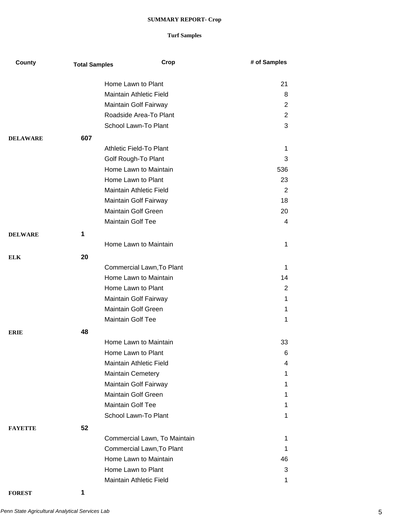### **Turf Samples**

| County          | <b>Total Samples</b> | Crop                                              | # of Samples   |
|-----------------|----------------------|---------------------------------------------------|----------------|
|                 |                      | Home Lawn to Plant                                | 21             |
|                 |                      | <b>Maintain Athletic Field</b>                    | 8              |
|                 |                      | Maintain Golf Fairway                             | $\overline{2}$ |
|                 |                      | Roadside Area-To Plant                            | $\overline{2}$ |
|                 |                      | School Lawn-To Plant                              | 3              |
| <b>DELAWARE</b> | 607                  |                                                   |                |
|                 |                      | Athletic Field-To Plant                           | 1              |
|                 |                      | Golf Rough-To Plant                               | 3              |
|                 |                      | Home Lawn to Maintain                             | 536            |
|                 |                      | Home Lawn to Plant                                | 23             |
|                 |                      | Maintain Athletic Field                           | 2              |
|                 |                      | Maintain Golf Fairway                             | 18             |
|                 |                      | Maintain Golf Green                               | 20             |
|                 |                      | <b>Maintain Golf Tee</b>                          | 4              |
| <b>DELWARE</b>  | 1                    |                                                   |                |
|                 |                      | Home Lawn to Maintain                             | 1              |
|                 | 20                   |                                                   |                |
| <b>ELK</b>      |                      | Commercial Lawn, To Plant                         | 1              |
|                 |                      | Home Lawn to Maintain                             | 14             |
|                 |                      | Home Lawn to Plant                                | $\overline{2}$ |
|                 |                      | Maintain Golf Fairway                             | 1              |
|                 |                      | <b>Maintain Golf Green</b>                        | 1              |
|                 |                      | <b>Maintain Golf Tee</b>                          | 1              |
|                 |                      |                                                   |                |
| <b>ERIE</b>     | 48                   |                                                   |                |
|                 |                      | Home Lawn to Maintain                             | 33             |
|                 |                      | Home Lawn to Plant<br>Maintain Athletic Field     | 6<br>4         |
|                 |                      |                                                   | 1              |
|                 |                      | <b>Maintain Cemetery</b><br>Maintain Golf Fairway | 1              |
|                 |                      | <b>Maintain Golf Green</b>                        | 1              |
|                 |                      | <b>Maintain Golf Tee</b>                          | 1              |
|                 |                      | School Lawn-To Plant                              | 1              |
|                 |                      |                                                   |                |
| <b>FAYETTE</b>  | 52                   |                                                   |                |
|                 |                      | Commercial Lawn, To Maintain                      | 1              |
|                 |                      | Commercial Lawn, To Plant                         | 1              |
|                 |                      | Home Lawn to Maintain                             | 46             |
|                 |                      | Home Lawn to Plant                                | 3              |
|                 |                      | Maintain Athletic Field                           | 1              |

**FOREST 1**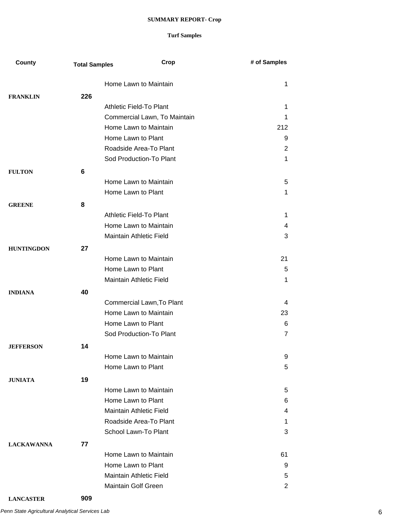| County            | <b>Total Samples</b> | Crop                         | # of Samples   |
|-------------------|----------------------|------------------------------|----------------|
|                   |                      | Home Lawn to Maintain        | 1              |
| <b>FRANKLIN</b>   | 226                  |                              |                |
|                   |                      | Athletic Field-To Plant      | 1              |
|                   |                      | Commercial Lawn, To Maintain | 1              |
|                   |                      | Home Lawn to Maintain        | 212            |
|                   |                      | Home Lawn to Plant           | 9              |
|                   |                      | Roadside Area-To Plant       | $\overline{2}$ |
|                   |                      | Sod Production-To Plant      | $\mathbf 1$    |
| <b>FULTON</b>     | 6                    |                              |                |
|                   |                      | Home Lawn to Maintain        | 5              |
|                   |                      | Home Lawn to Plant           | 1              |
| <b>GREENE</b>     | 8                    |                              |                |
|                   |                      | Athletic Field-To Plant      | 1              |
|                   |                      | Home Lawn to Maintain        | 4              |
|                   |                      | Maintain Athletic Field      | 3              |
|                   |                      |                              |                |
| <b>HUNTINGDON</b> | 27                   |                              |                |
|                   |                      | Home Lawn to Maintain        | 21             |
|                   |                      | Home Lawn to Plant           | 5              |
|                   |                      | Maintain Athletic Field      | 1              |
| <b>INDIANA</b>    | 40                   |                              |                |
|                   |                      | Commercial Lawn, To Plant    | 4              |
|                   |                      | Home Lawn to Maintain        | 23             |
|                   |                      | Home Lawn to Plant           | 6              |
|                   |                      | Sod Production-To Plant      | $\overline{7}$ |
| <b>JEFFERSON</b>  | 14                   |                              |                |
|                   |                      | Home Lawn to Maintain        | 9              |
|                   |                      | Home Lawn to Plant           | 5              |
| <b>JUNIATA</b>    | 19                   |                              |                |
|                   |                      | Home Lawn to Maintain        | 5              |
|                   |                      | Home Lawn to Plant           | 6              |
|                   |                      | Maintain Athletic Field      | 4              |
|                   |                      | Roadside Area-To Plant       | 1              |
|                   |                      | School Lawn-To Plant         | 3              |
| <b>LACKAWANNA</b> | 77                   |                              |                |
|                   |                      | Home Lawn to Maintain        | 61             |
|                   |                      | Home Lawn to Plant           | 9              |
|                   |                      | Maintain Athletic Field      | 5              |
|                   |                      | Maintain Golf Green          | $\overline{2}$ |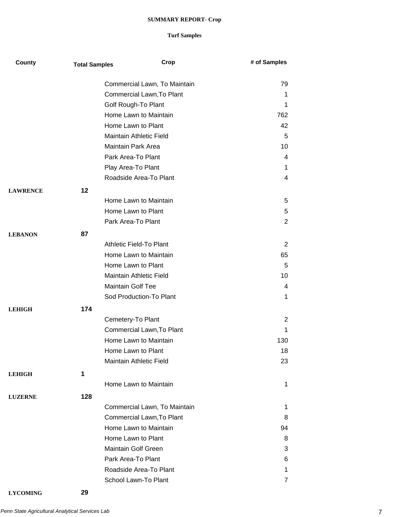| County          | <b>Total Samples</b> | Crop                           | # of Samples   |
|-----------------|----------------------|--------------------------------|----------------|
|                 |                      | Commercial Lawn, To Maintain   | 79             |
|                 |                      | Commercial Lawn, To Plant      | 1              |
|                 |                      | Golf Rough-To Plant            | 1              |
|                 |                      | Home Lawn to Maintain          | 762            |
|                 |                      | Home Lawn to Plant             | 42             |
|                 |                      | Maintain Athletic Field        | 5              |
|                 |                      | Maintain Park Area             | 10             |
|                 |                      | Park Area-To Plant             | 4              |
|                 |                      | Play Area-To Plant             | 1              |
|                 |                      | Roadside Area-To Plant         | 4              |
| <b>LAWRENCE</b> | 12                   |                                |                |
|                 |                      | Home Lawn to Maintain          | 5              |
|                 |                      | Home Lawn to Plant             | 5              |
|                 |                      | Park Area-To Plant             | 2              |
| <b>LEBANON</b>  | 87                   |                                |                |
|                 |                      | <b>Athletic Field-To Plant</b> | $\overline{2}$ |
|                 |                      | Home Lawn to Maintain          | 65             |
|                 |                      | Home Lawn to Plant             | 5              |
|                 |                      | Maintain Athletic Field        | 10             |
|                 |                      | <b>Maintain Golf Tee</b>       | 4              |
|                 |                      | Sod Production-To Plant        | 1              |
| <b>LEHIGH</b>   | 174                  |                                |                |
|                 |                      | Cemetery-To Plant              | $\overline{2}$ |
|                 |                      | Commercial Lawn, To Plant      | 1              |
|                 |                      | Home Lawn to Maintain          | 130            |
|                 |                      | Home Lawn to Plant             | 18             |
|                 |                      | <b>Maintain Athletic Field</b> | 23             |
| <b>LEHIGH</b>   | 1                    |                                |                |
|                 |                      | Home Lawn to Maintain          | 1              |
| <b>LUZERNE</b>  | 128                  |                                |                |
|                 |                      | Commercial Lawn, To Maintain   | $\mathbf 1$    |
|                 |                      | Commercial Lawn, To Plant      | 8              |
|                 |                      | Home Lawn to Maintain          | 94             |
|                 |                      | Home Lawn to Plant             | 8              |
|                 |                      | <b>Maintain Golf Green</b>     | 3              |
|                 |                      | Park Area-To Plant             | 6              |
|                 |                      | Roadside Area-To Plant         | 1              |
|                 |                      | School Lawn-To Plant           | 7              |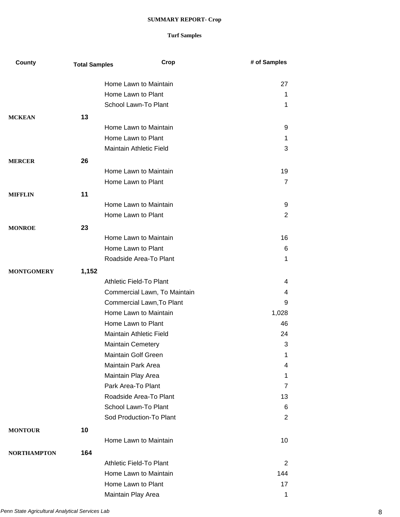| County             | <b>Total Samples</b> | Crop                                                      | # of Samples   |
|--------------------|----------------------|-----------------------------------------------------------|----------------|
|                    |                      |                                                           |                |
|                    |                      | Home Lawn to Maintain<br>Home Lawn to Plant               | 27             |
|                    |                      | <b>School Lawn-To Plant</b>                               | 1              |
|                    |                      |                                                           | 1              |
| <b>MCKEAN</b>      | 13                   |                                                           |                |
|                    |                      | Home Lawn to Maintain                                     | 9              |
|                    |                      | Home Lawn to Plant                                        | 1              |
|                    |                      | Maintain Athletic Field                                   | 3              |
| <b>MERCER</b>      | 26                   |                                                           |                |
|                    |                      | Home Lawn to Maintain                                     | 19             |
|                    |                      | Home Lawn to Plant                                        | $\overline{7}$ |
| <b>MIFFLIN</b>     | 11                   |                                                           |                |
|                    |                      | Home Lawn to Maintain                                     | 9              |
|                    |                      | Home Lawn to Plant                                        | 2              |
| <b>MONROE</b>      | 23                   |                                                           |                |
|                    |                      | Home Lawn to Maintain                                     | 16             |
|                    |                      | Home Lawn to Plant                                        | 6              |
|                    |                      | Roadside Area-To Plant                                    | 1              |
|                    |                      |                                                           |                |
| <b>MONTGOMERY</b>  | 1,152                | Athletic Field-To Plant                                   | 4              |
|                    |                      |                                                           | 4              |
|                    |                      | Commercial Lawn, To Maintain<br>Commercial Lawn, To Plant | 9              |
|                    |                      | Home Lawn to Maintain                                     |                |
|                    |                      | Home Lawn to Plant                                        | 1,028          |
|                    |                      | Maintain Athletic Field                                   | 46             |
|                    |                      |                                                           | 24             |
|                    |                      | <b>Maintain Cemetery</b>                                  | 3              |
|                    |                      | <b>Maintain Golf Green</b><br><b>Maintain Park Area</b>   | 1              |
|                    |                      |                                                           | 4              |
|                    |                      | Maintain Play Area                                        | 1              |
|                    |                      | Park Area-To Plant                                        | 7              |
|                    |                      | Roadside Area-To Plant                                    | 13             |
|                    |                      | School Lawn-To Plant                                      | 6              |
|                    |                      | Sod Production-To Plant                                   | 2              |
| <b>MONTOUR</b>     | 10                   |                                                           |                |
|                    |                      | Home Lawn to Maintain                                     | 10             |
| <b>NORTHAMPTON</b> | 164                  |                                                           |                |
|                    |                      | Athletic Field-To Plant                                   | 2              |
|                    |                      | Home Lawn to Maintain                                     | 144            |
|                    |                      | Home Lawn to Plant                                        | 17             |
|                    |                      | Maintain Play Area                                        | 1              |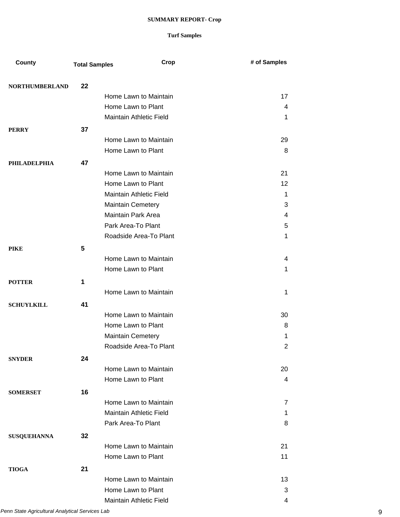| County                | <b>Total Samples</b> | Crop                      | # of Samples |
|-----------------------|----------------------|---------------------------|--------------|
| <b>NORTHUMBERLAND</b> | 22                   |                           |              |
|                       |                      | Home Lawn to Maintain     | 17           |
|                       |                      | Home Lawn to Plant        | 4            |
|                       |                      | Maintain Athletic Field   | 1            |
| <b>PERRY</b>          | 37                   |                           |              |
|                       |                      | Home Lawn to Maintain     | 29           |
|                       |                      | Home Lawn to Plant        | 8            |
| <b>PHILADELPHIA</b>   | 47                   |                           |              |
|                       |                      | Home Lawn to Maintain     | 21           |
|                       |                      | Home Lawn to Plant        | 12           |
|                       |                      | Maintain Athletic Field   | 1            |
|                       |                      | <b>Maintain Cemetery</b>  | 3            |
|                       |                      | <b>Maintain Park Area</b> | 4            |
|                       |                      | Park Area-To Plant        | 5            |
|                       |                      | Roadside Area-To Plant    | 1            |
| <b>PIKE</b>           | 5                    |                           |              |
|                       |                      | Home Lawn to Maintain     | 4            |
|                       |                      | Home Lawn to Plant        | 1            |
| <b>POTTER</b>         | 1                    |                           |              |
|                       |                      | Home Lawn to Maintain     | 1            |
| <b>SCHUYLKILL</b>     | 41                   |                           |              |
|                       |                      | Home Lawn to Maintain     | 30           |
|                       |                      | Home Lawn to Plant        | 8            |
|                       |                      | <b>Maintain Cemetery</b>  | 1            |
|                       |                      | Roadside Area-To Plant    | 2            |
| <b>SNYDER</b>         | 24                   |                           |              |
|                       |                      | Home Lawn to Maintain     | 20           |
|                       |                      | Home Lawn to Plant        | 4            |
| <b>SOMERSET</b>       | 16                   |                           |              |
|                       |                      | Home Lawn to Maintain     | 7            |
|                       |                      | Maintain Athletic Field   | 1            |
|                       |                      | Park Area-To Plant        | 8            |
| <b>SUSQUEHANNA</b>    | 32                   |                           |              |
|                       |                      | Home Lawn to Maintain     | 21           |
|                       |                      | Home Lawn to Plant        | 11           |
|                       |                      |                           |              |
| <b>TIOGA</b>          | 21                   | Home Lawn to Maintain     | 13           |
|                       |                      | Home Lawn to Plant        | 3            |
|                       |                      | Maintain Athletic Field   | 4            |
|                       |                      |                           |              |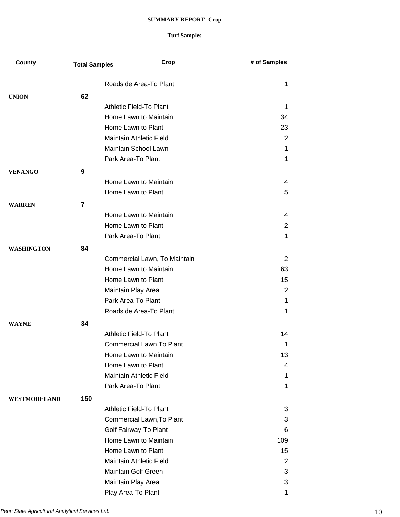| County              | <b>Total Samples</b> | Crop                                        | # of Samples   |
|---------------------|----------------------|---------------------------------------------|----------------|
|                     |                      | Roadside Area-To Plant                      | $\mathbf 1$    |
| <b>UNION</b>        | 62                   |                                             |                |
|                     |                      | Athletic Field-To Plant                     | $\mathbf 1$    |
|                     |                      | Home Lawn to Maintain                       | 34             |
|                     |                      | Home Lawn to Plant                          | 23             |
|                     |                      | <b>Maintain Athletic Field</b>              | 2              |
|                     |                      | Maintain School Lawn                        | $\mathbf 1$    |
|                     |                      | Park Area-To Plant                          | $\mathbf 1$    |
|                     |                      |                                             |                |
| <b>VENANGO</b>      | 9                    |                                             |                |
|                     |                      | Home Lawn to Maintain<br>Home Lawn to Plant | 4              |
|                     |                      |                                             | 5              |
| <b>WARREN</b>       | 7                    |                                             |                |
|                     |                      | Home Lawn to Maintain                       | 4              |
|                     |                      | Home Lawn to Plant                          | $\overline{2}$ |
|                     |                      | Park Area-To Plant                          | $\mathbf 1$    |
| <b>WASHINGTON</b>   | 84                   |                                             |                |
|                     |                      | Commercial Lawn, To Maintain                | $\overline{2}$ |
|                     |                      | Home Lawn to Maintain                       | 63             |
|                     |                      | Home Lawn to Plant                          | 15             |
|                     |                      | Maintain Play Area                          | $\overline{2}$ |
|                     |                      | Park Area-To Plant                          | $\mathbf 1$    |
|                     |                      | Roadside Area-To Plant                      | $\mathbf 1$    |
| <b>WAYNE</b>        | 34                   |                                             |                |
|                     |                      | Athletic Field-To Plant                     | 14             |
|                     |                      | Commercial Lawn, To Plant                   | 1              |
|                     |                      | Home Lawn to Maintain                       | 13             |
|                     |                      | Home Lawn to Plant                          | 4              |
|                     |                      | Maintain Athletic Field                     | $\mathbf 1$    |
|                     |                      | Park Area-To Plant                          | $\mathbf 1$    |
| <b>WESTMORELAND</b> | 150                  |                                             |                |
|                     |                      | Athletic Field-To Plant                     | 3              |
|                     |                      | Commercial Lawn, To Plant                   | 3              |
|                     |                      | Golf Fairway-To Plant                       | 6              |
|                     |                      | Home Lawn to Maintain                       | 109            |
|                     |                      | Home Lawn to Plant                          | 15             |
|                     |                      | Maintain Athletic Field                     | $\overline{2}$ |
|                     |                      | <b>Maintain Golf Green</b>                  | 3              |
|                     |                      | Maintain Play Area                          | 3              |
|                     |                      | Play Area-To Plant                          | 1              |